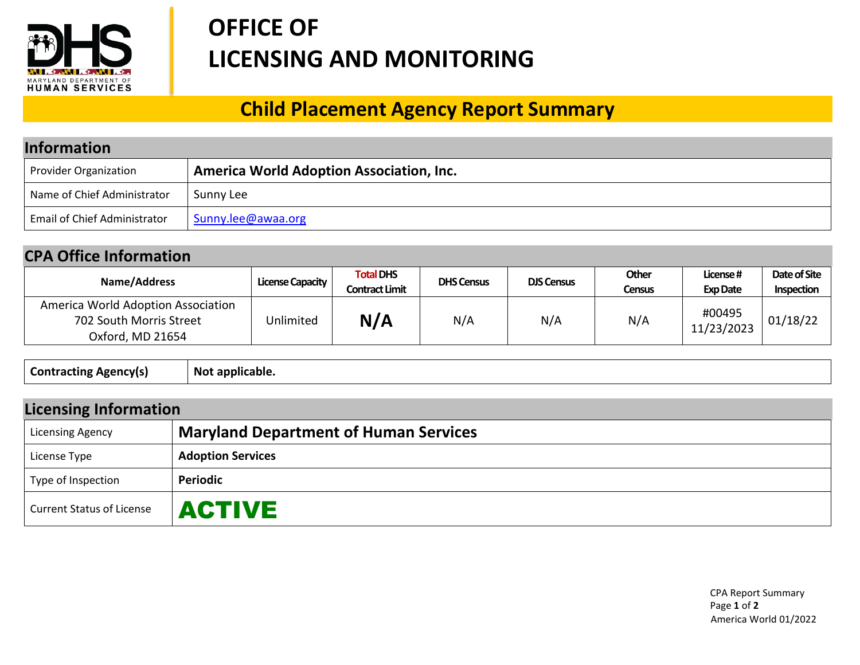

## **OFFICE OF LICENSING AND MONITORING**

## **Child Placement Agency Report Summary**

| <b>Information</b>                  |                                                 |  |  |  |
|-------------------------------------|-------------------------------------------------|--|--|--|
| <b>Provider Organization</b>        | <b>America World Adoption Association, Inc.</b> |  |  |  |
| Name of Chief Administrator         | Sunny Lee                                       |  |  |  |
| <b>Email of Chief Administrator</b> | Sunny.lee@awaa.org                              |  |  |  |

## **CPA Office Information**

| Name/Address                                                                      | <b>License Capacity</b> | <b>Total DHS</b><br><b>Contract Limit</b> | <b>DHS Census</b> | <b>DJS Census</b> | Other<br>Census | License#<br><b>Exp Date</b> | Date of Site<br>Inspection |
|-----------------------------------------------------------------------------------|-------------------------|-------------------------------------------|-------------------|-------------------|-----------------|-----------------------------|----------------------------|
| America World Adoption Association<br>702 South Morris Street<br>Oxford, MD 21654 | Unlimited               | N/A                                       | N/A               | N/A               | N/A             | #00495<br>11/23/2023        | 01/18/22                   |

| <b>Agencyls</b><br>∴untr<br>-----<br>.<br>1 duun 1<br>. . |
|-----------------------------------------------------------|
|-----------------------------------------------------------|

| <b>Licensing Information</b>     |                                              |  |  |  |
|----------------------------------|----------------------------------------------|--|--|--|
| <b>Licensing Agency</b>          | <b>Maryland Department of Human Services</b> |  |  |  |
| License Type                     | <b>Adoption Services</b>                     |  |  |  |
| Type of Inspection               | Periodic                                     |  |  |  |
| <b>Current Status of License</b> | <b>ACTIVE</b>                                |  |  |  |